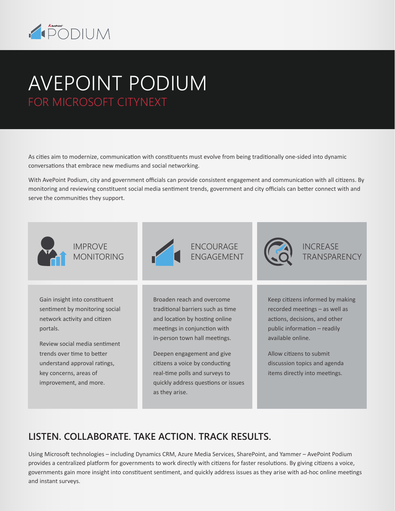

# AVEPOINT PODIUM FOR MICROSOFT CITYNEXT

As cities aim to modernize, communication with constituents must evolve from being traditionally one-sided into dynamic conversations that embrace new mediums and social networking.

With AvePoint Podium, city and government officials can provide consistent engagement and communication with all citizens. By monitoring and reviewing constituent social media sentiment trends, government and city officials can better connect with and serve the communities they support.



### **LISTEN. COLLABORATE. TAKE ACTION. TRACK RESULTS.**

Using Microsoft technologies – including Dynamics CRM, Azure Media Services, SharePoint, and Yammer – AvePoint Podium provides a centralized platform for governments to work directly with citizens for faster resolutions. By giving citizens a voice, governments gain more insight into constituent sentiment, and quickly address issues as they arise with ad-hoc online meetings and instant surveys.